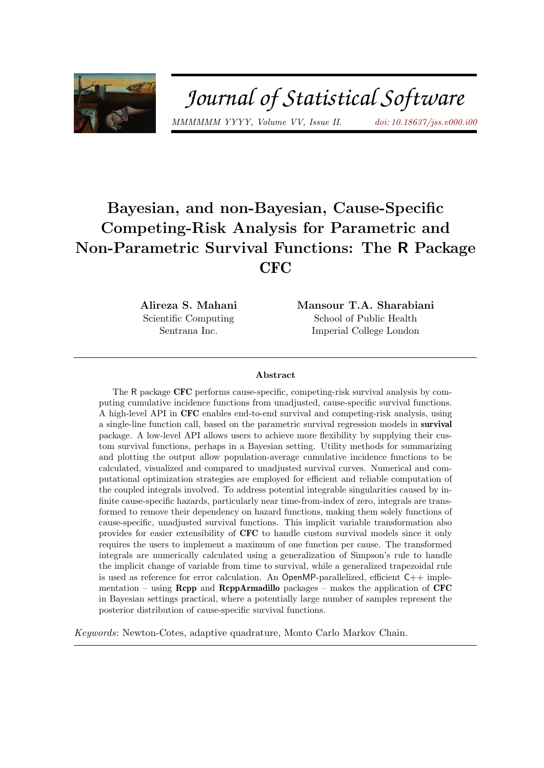

# Journal of Statistical Software

MMMMMM YYYY, Volume VV, Issue II. [doi: 10.18637/jss.v000.i00](http://dx.doi.org/10.18637/jss.v000.i00)

# Bayesian, and non-Bayesian, Cause-Specific Competing-Risk Analysis for Parametric and Non-Parametric Survival Functions: The R Package **CFC**

Alireza S. Mahani Scientific Computing Sentrana Inc.

Mansour T.A. Sharabiani School of Public Health Imperial College London

#### Abstract

The R package CFC performs cause-specific, competing-risk survival analysis by computing cumulative incidence functions from unadjusted, cause-specific survival functions. A high-level API in CFC enables end-to-end survival and competing-risk analysis, using a single-line function call, based on the parametric survival regression models in survival package. A low-level API allows users to achieve more flexibility by supplying their custom survival functions, perhaps in a Bayesian setting. Utility methods for summarizing and plotting the output allow population-average cumulative incidence functions to be calculated, visualized and compared to unadjusted survival curves. Numerical and computational optimization strategies are employed for efficient and reliable computation of the coupled integrals involved. To address potential integrable singularities caused by infinite cause-specific hazards, particularly near time-from-index of zero, integrals are transformed to remove their dependency on hazard functions, making them solely functions of cause-specific, unadjusted survival functions. This implicit variable transformation also provides for easier extensibility of CFC to handle custom survival models since it only requires the users to implement a maximum of one function per cause. The transformed integrals are numerically calculated using a generalization of Simpson's rule to handle the implicit change of variable from time to survival, while a generalized trapezoidal rule is used as reference for error calculation. An OpenMP-parallelized, efficient  $C++$  implementation – using **Rcpp** and **RcppArmadillo** packages – makes the application of **CFC** in Bayesian settings practical, where a potentially large number of samples represent the posterior distribution of cause-specific survival functions.

Keywords: Newton-Cotes, adaptive quadrature, Monto Carlo Markov Chain.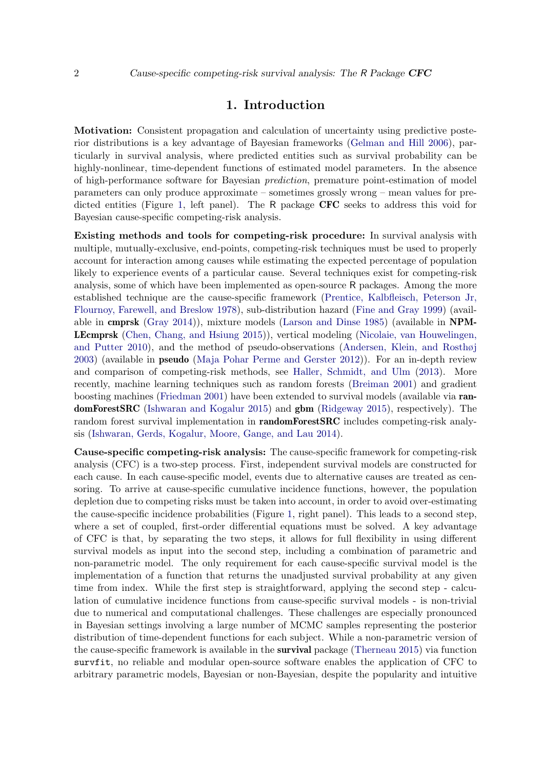#### 1. Introduction

Motivation: Consistent propagation and calculation of uncertainty using predictive posterior distributions is a key advantage of Bayesian frameworks [\(Gelman and Hill](#page-23-0) [2006\)](#page-23-0), particularly in survival analysis, where predicted entities such as survival probability can be highly-nonlinear, time-dependent functions of estimated model parameters. In the absence of high-performance software for Bayesian prediction, premature point-estimation of model parameters can only produce approximate – sometimes grossly wrong – mean values for pre-dicted entities (Figure [1,](#page-2-0) left panel). The R package  $CFC$  seeks to address this void for Bayesian cause-specific competing-risk analysis.

Existing methods and tools for competing-risk procedure: In survival analysis with multiple, mutually-exclusive, end-points, competing-risk techniques must be used to properly account for interaction among causes while estimating the expected percentage of population likely to experience events of a particular cause. Several techniques exist for competing-risk analysis, some of which have been implemented as open-source R packages. Among the more established technique are the cause-specific framework [\(Prentice, Kalbfleisch, Peterson Jr,](#page-24-0) [Flournoy, Farewell, and Breslow](#page-24-0) [1978\)](#page-24-0), sub-distribution hazard [\(Fine and Gray](#page-23-1) [1999\)](#page-23-1) (available in cmprsk [\(Gray](#page-23-2) [2014\)](#page-23-2)), mixture models [\(Larson and Dinse](#page-23-3) [1985\)](#page-23-3) (available in NPM-LEcmprsk [\(Chen, Chang, and Hsiung](#page-22-0) [2015\)](#page-22-0)), vertical modeling [\(Nicolaie, van Houwelingen,](#page-24-1) [and Putter](#page-24-1) [2010\)](#page-24-1), and the method of pseudo-observations [\(Andersen, Klein, and Rosthøj](#page-22-1) [2003\)](#page-22-1) (available in pseudo [\(Maja Pohar Perme and Gerster](#page-24-2) [2012\)](#page-24-2)). For an in-depth review and comparison of competing-risk methods, see [Haller, Schmidt, and Ulm](#page-23-4) [\(2013\)](#page-23-4). More recently, machine learning techniques such as random forests [\(Breiman](#page-22-2) [2001\)](#page-22-2) and gradient boosting machines [\(Friedman](#page-23-5) [2001\)](#page-23-5) have been extended to survival models (available via randomForestSRC [\(Ishwaran and Kogalur](#page-23-6) [2015\)](#page-23-6) and gbm [\(Ridgeway](#page-24-3) [2015\)](#page-24-3), respectively). The random forest survival implementation in **randomForestSRC** includes competing-risk analysis [\(Ishwaran, Gerds, Kogalur, Moore, Gange, and Lau](#page-23-7) [2014\)](#page-23-7).

Cause-specific competing-risk analysis: The cause-specific framework for competing-risk analysis (CFC) is a two-step process. First, independent survival models are constructed for each cause. In each cause-specific model, events due to alternative causes are treated as censoring. To arrive at cause-specific cumulative incidence functions, however, the population depletion due to competing risks must be taken into account, in order to avoid over-estimating the cause-specific incidence probabilities (Figure [1,](#page-2-0) right panel). This leads to a second step, where a set of coupled, first-order differential equations must be solved. A key advantage of CFC is that, by separating the two steps, it allows for full flexibility in using different survival models as input into the second step, including a combination of parametric and non-parametric model. The only requirement for each cause-specific survival model is the implementation of a function that returns the unadjusted survival probability at any given time from index. While the first step is straightforward, applying the second step - calculation of cumulative incidence functions from cause-specific survival models - is non-trivial due to numerical and computational challenges. These challenges are especially pronounced in Bayesian settings involving a large number of MCMC samples representing the posterior distribution of time-dependent functions for each subject. While a non-parametric version of the cause-specific framework is available in the survival package [\(Therneau](#page-24-4) [2015\)](#page-24-4) via function survfit, no reliable and modular open-source software enables the application of CFC to arbitrary parametric models, Bayesian or non-Bayesian, despite the popularity and intuitive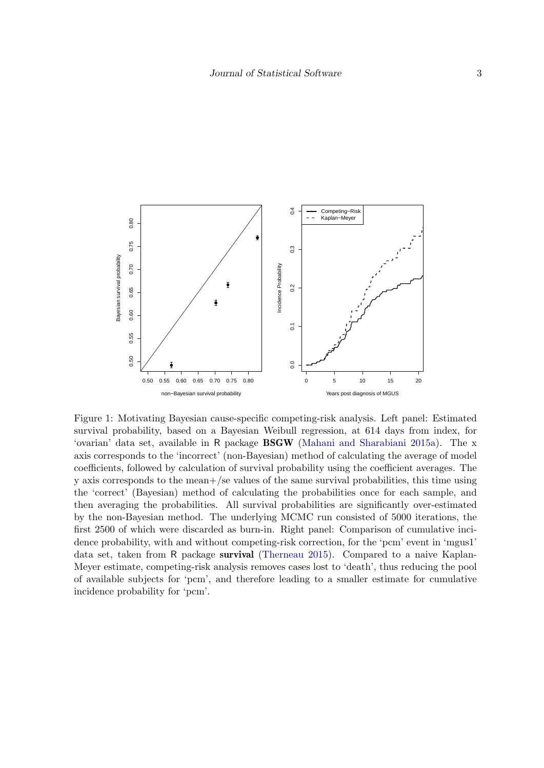<span id="page-2-0"></span>

Figure 1: Motivating Bayesian cause-specific competing-risk analysis. Left panel: Estimated survival probability, based on a Bayesian Weibull regression, at 614 days from index, for 'ovarian' data set, available in R package BSGW [\(Mahani and Sharabiani](#page-24-5) [2015a\)](#page-24-5). The x axis corresponds to the 'incorrect' (non-Bayesian) method of calculating the average of model coefficients, followed by calculation of survival probability using the coefficient averages. The y axis corresponds to the mean+/se values of the same survival probabilities, this time using the 'correct' (Bayesian) method of calculating the probabilities once for each sample, and then averaging the probabilities. All survival probabilities are significantly over-estimated by the non-Bayesian method. The underlying MCMC run consisted of 5000 iterations, the first 2500 of which were discarded as burn-in. Right panel: Comparison of cumulative incidence probability, with and without competing-risk correction, for the 'pcm' event in 'mgus1' data set, taken from R package survival [\(Therneau](#page-24-4) [2015\)](#page-24-4). Compared to a naive Kaplan-Meyer estimate, competing-risk analysis removes cases lost to 'death', thus reducing the pool of available subjects for 'pcm', and therefore leading to a smaller estimate for cumulative incidence probability for 'pcm'.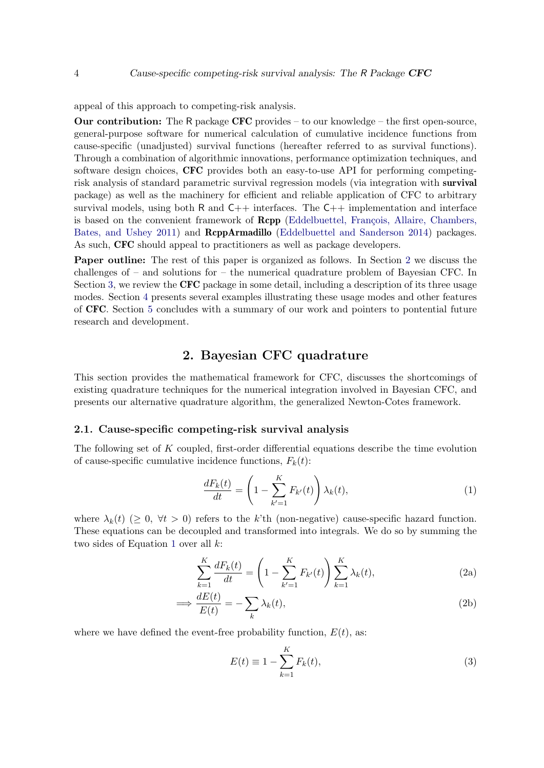appeal of this approach to competing-risk analysis.

**Our contribution:** The R package  $CFC$  provides – to our knowledge – the first open-source, general-purpose software for numerical calculation of cumulative incidence functions from cause-specific (unadjusted) survival functions (hereafter referred to as survival functions). Through a combination of algorithmic innovations, performance optimization techniques, and software design choices, CFC provides both an easy-to-use API for performing competingrisk analysis of standard parametric survival regression models (via integration with survival package) as well as the machinery for efficient and reliable application of CFC to arbitrary survival models, using both  $R$  and  $C++$  interfaces. The  $C++$  implementation and interface is based on the convenient framework of **Rcpp** (Eddelbuettel, François, Allaire, Chambers, [Bates, and Ushey](#page-23-8) [2011\)](#page-23-8) and RcppArmadillo [\(Eddelbuettel and Sanderson](#page-23-9) [2014\)](#page-23-9) packages. As such, CFC should appeal to practitioners as well as package developers.

Paper outline: The rest of this paper is organized as follows. In Section [2](#page-3-0) we discuss the challenges of – and solutions for – the numerical quadrature problem of Bayesian CFC. In Section [3,](#page-8-0) we review the CFC package in some detail, including a description of its three usage modes. Section [4](#page-10-0) presents several examples illustrating these usage modes and other features of CFC. Section [5](#page-20-0) concludes with a summary of our work and pointers to pontential future research and development.

# 2. Bayesian CFC quadrature

<span id="page-3-0"></span>This section provides the mathematical framework for CFC, discusses the shortcomings of existing quadrature techniques for the numerical integration involved in Bayesian CFC, and presents our alternative quadrature algorithm, the generalized Newton-Cotes framework.

#### 2.1. Cause-specific competing-risk survival analysis

The following set of  $K$  coupled, first-order differential equations describe the time evolution of cause-specific cumulative incidence functions,  $F_k(t)$ :

<span id="page-3-1"></span>
$$
\frac{dF_k(t)}{dt} = \left(1 - \sum_{k'=1}^K F_{k'}(t)\right) \lambda_k(t),\tag{1}
$$

where  $\lambda_k(t)$  ( $\geq 0$ ,  $\forall t > 0$ ) refers to the k'th (non-negative) cause-specific hazard function. These equations can be decoupled and transformed into integrals. We do so by summing the two sides of Equation [1](#page-3-1) over all  $k$ :

<span id="page-3-2"></span>
$$
\sum_{k=1}^{K} \frac{dF_k(t)}{dt} = \left(1 - \sum_{k'=1}^{K} F_{k'}(t)\right) \sum_{k=1}^{K} \lambda_k(t),\tag{2a}
$$

$$
\implies \frac{dE(t)}{E(t)} = -\sum_{k} \lambda_k(t),\tag{2b}
$$

where we have defined the event-free probability function,  $E(t)$ , as:

=⇒

<span id="page-3-3"></span>
$$
E(t) \equiv 1 - \sum_{k=1}^{K} F_k(t),\tag{3}
$$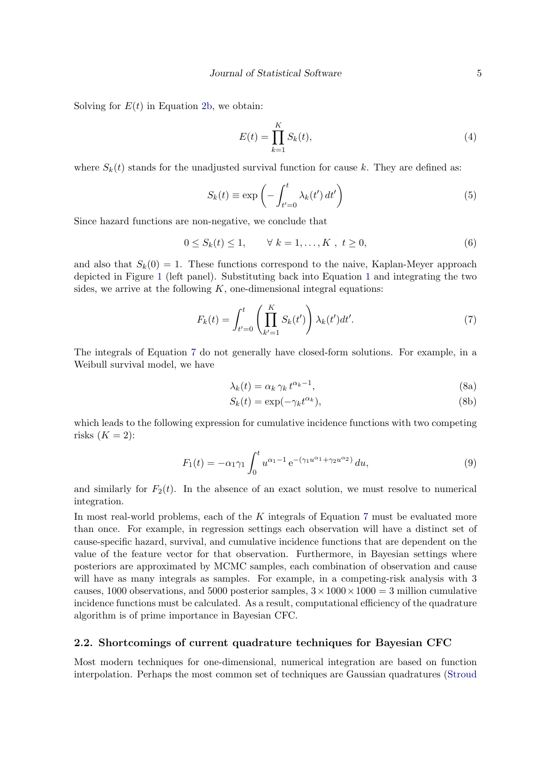Solving for  $E(t)$  in Equation [2b,](#page-3-2) we obtain:

<span id="page-4-3"></span><span id="page-4-2"></span><span id="page-4-1"></span>
$$
E(t) = \prod_{k=1}^{K} S_k(t),
$$
\n(4)

where  $S_k(t)$  stands for the unadjusted survival function for cause k. They are defined as:

$$
S_k(t) \equiv \exp\left(-\int_{t'=0}^t \lambda_k(t') dt'\right)
$$
\n(5)

Since hazard functions are non-negative, we conclude that

$$
0 \le S_k(t) \le 1, \qquad \forall \ k = 1, \dots, K \ , \ t \ge 0,
$$
\n
$$
(6)
$$

and also that  $S_k(0) = 1$ . These functions correspond to the naive, Kaplan-Meyer approach depicted in Figure [1](#page-2-0) (left panel). Substituting back into Equation [1](#page-3-1) and integrating the two sides, we arrive at the following  $K$ , one-dimensional integral equations:

$$
F_k(t) = \int_{t'=0}^t \left( \prod_{k'=1}^K S_k(t') \right) \lambda_k(t') dt'. \tag{7}
$$

The integrals of Equation [7](#page-4-0) do not generally have closed-form solutions. For example, in a Weibull survival model, we have

<span id="page-4-0"></span>
$$
\lambda_k(t) = \alpha_k \gamma_k t^{\alpha_k - 1},\tag{8a}
$$

$$
S_k(t) = \exp(-\gamma_k t^{\alpha_k}),\tag{8b}
$$

which leads to the following expression for cumulative incidence functions with two competing risks  $(K = 2)$ :

$$
F_1(t) = -\alpha_1 \gamma_1 \int_0^t u^{\alpha_1 - 1} e^{-(\gamma_1 u^{\alpha_1} + \gamma_2 u^{\alpha_2})} du,
$$
\n(9)

and similarly for  $F_2(t)$ . In the absence of an exact solution, we must resolve to numerical integration.

In most real-world problems, each of the  $K$  integrals of Equation [7](#page-4-0) must be evaluated more than once. For example, in regression settings each observation will have a distinct set of cause-specific hazard, survival, and cumulative incidence functions that are dependent on the value of the feature vector for that observation. Furthermore, in Bayesian settings where posteriors are approximated by MCMC samples, each combination of observation and cause will have as many integrals as samples. For example, in a competing-risk analysis with 3 causes, 1000 observations, and 5000 posterior samples,  $3 \times 1000 \times 1000 = 3$  million cumulative incidence functions must be calculated. As a result, computational efficiency of the quadrature algorithm is of prime importance in Bayesian CFC.

#### 2.2. Shortcomings of current quadrature techniques for Bayesian CFC

Most modern techniques for one-dimensional, numerical integration are based on function interpolation. Perhaps the most common set of techniques are Gaussian quadratures [\(Stroud](#page-24-6)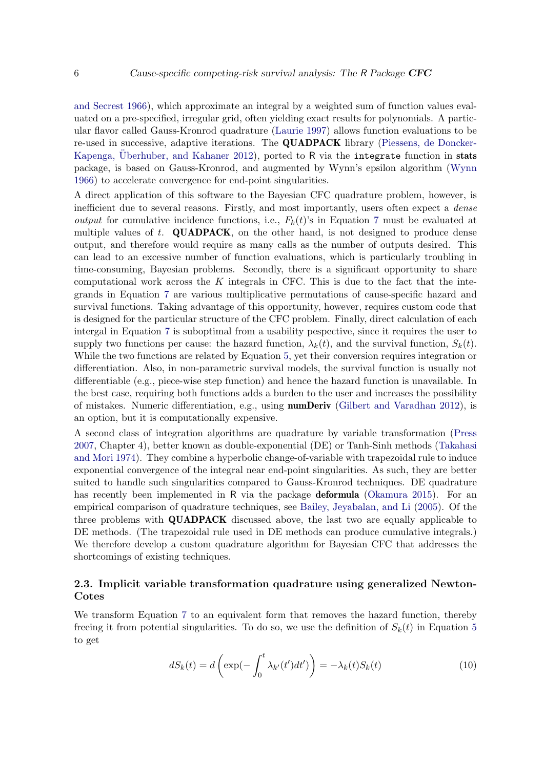[and Secrest](#page-24-6) [1966\)](#page-24-6), which approximate an integral by a weighted sum of function values evaluated on a pre-specified, irregular grid, often yielding exact results for polynomials. A particular flavor called Gauss-Kronrod quadrature [\(Laurie](#page-23-10) [1997\)](#page-23-10) allows function evaluations to be re-used in successive, adaptive iterations. The QUADPACK library [\(Piessens, de Doncker-](#page-24-7)Kapenga, [Uberhuber, and Kahaner](#page-24-7) [2012\)](#page-24-7), ported to R via the integrate function in stats package, is based on Gauss-Kronrod, and augmented by Wynn's epsilon algorithm [\(Wynn](#page-24-8) [1966\)](#page-24-8) to accelerate convergence for end-point singularities.

A direct application of this software to the Bayesian CFC quadrature problem, however, is inefficient due to several reasons. Firstly, and most importantly, users often expect a *dense output* for cumulative incidence functions, i.e.,  $F_k(t)$ 's in Equation [7](#page-4-0) must be evaluated at multiple values of  $t$ . QUADPACK, on the other hand, is not designed to produce dense output, and therefore would require as many calls as the number of outputs desired. This can lead to an excessive number of function evaluations, which is particularly troubling in time-consuming, Bayesian problems. Secondly, there is a significant opportunity to share computational work across the  $K$  integrals in CFC. This is due to the fact that the integrands in Equation [7](#page-4-0) are various multiplicative permutations of cause-specific hazard and survival functions. Taking advantage of this opportunity, however, requires custom code that is designed for the particular structure of the CFC problem. Finally, direct calculation of each intergal in Equation [7](#page-4-0) is suboptimal from a usability pespective, since it requires the user to supply two functions per cause: the hazard function,  $\lambda_k(t)$ , and the survival function,  $S_k(t)$ . While the two functions are related by Equation [5,](#page-4-1) yet their conversion requires integration or differentiation. Also, in non-parametric survival models, the survival function is usually not differentiable (e.g., piece-wise step function) and hence the hazard function is unavailable. In the best case, requiring both functions adds a burden to the user and increases the possibility of mistakes. Numeric differentiation, e.g., using numDeriv [\(Gilbert and Varadhan](#page-23-11) [2012\)](#page-23-11), is an option, but it is computationally expensive.

A second class of integration algorithms are quadrature by variable transformation [\(Press](#page-24-9) [2007,](#page-24-9) Chapter 4), better known as double-exponential (DE) or Tanh-Sinh methods [\(Takahasi](#page-24-10) [and Mori](#page-24-10) [1974\)](#page-24-10). They combine a hyperbolic change-of-variable with trapezoidal rule to induce exponential convergence of the integral near end-point singularities. As such, they are better suited to handle such singularities compared to Gauss-Kronrod techniques. DE quadrature has recently been implemented in R via the package **deformula** [\(Okamura](#page-24-11) [2015\)](#page-24-11). For an empirical comparison of quadrature techniques, see [Bailey, Jeyabalan, and Li](#page-22-3) [\(2005\)](#page-22-3). Of the three problems with QUADPACK discussed above, the last two are equally applicable to DE methods. (The trapezoidal rule used in DE methods can produce cumulative integrals.) We therefore develop a custom quadrature algorithm for Bayesian CFC that addresses the shortcomings of existing techniques.

#### <span id="page-5-0"></span>2.3. Implicit variable transformation quadrature using generalized Newton-Cotes

We transform Equation [7](#page-4-0) to an equivalent form that removes the hazard function, thereby freeing it from potential singularities. To do so, we use the definition of  $S_k(t)$  in Equation [5](#page-4-1) to get

$$
dS_k(t) = d\left(\exp(-\int_0^t \lambda_{k'}(t')dt')\right) = -\lambda_k(t)S_k(t)
$$
\n(10)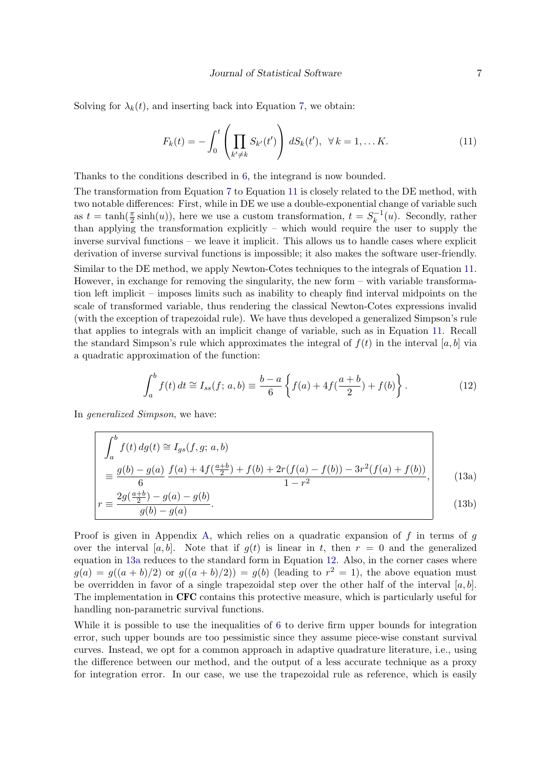Solving for  $\lambda_k(t)$ , and inserting back into Equation [7,](#page-4-0) we obtain:

<span id="page-6-0"></span>
$$
F_k(t) = -\int_0^t \left( \prod_{k' \neq k} S_{k'}(t') \right) dS_k(t'), \ \ \forall \, k = 1, \dots K. \tag{11}
$$

Thanks to the conditions described in [6,](#page-4-2) the integrand is now bounded.

The transformation from Equation [7](#page-4-0) to Equation [11](#page-6-0) is closely related to the DE method, with two notable differences: First, while in DE we use a double-exponential change of variable such as  $t = \tanh(\frac{\pi}{2}\sinh(u))$ , here we use a custom transformation,  $t = S_k^{-1}$  $\binom{-1}{k}(u)$ . Secondly, rather than applying the transformation explicitly – which would require the user to supply the inverse survival functions – we leave it implicit. This allows us to handle cases where explicit derivation of inverse survival functions is impossible; it also makes the software user-friendly.

Similar to the DE method, we apply Newton-Cotes techniques to the integrals of Equation [11.](#page-6-0) However, in exchange for removing the singularity, the new form – with variable transformation left implicit – imposes limits such as inability to cheaply find interval midpoints on the scale of transformed variable, thus rendering the classical Newton-Cotes expressions invalid (with the exception of trapezoidal rule). We have thus developed a generalized Simpson's rule that applies to integrals with an implicit change of variable, such as in Equation [11.](#page-6-0) Recall the standard Simpson's rule which approximates the integral of  $f(t)$  in the interval [a, b] via a quadratic approximation of the function:

<span id="page-6-1"></span>
$$
\int_{a}^{b} f(t) dt \cong I_{ss}(f; a, b) \equiv \frac{b-a}{6} \left\{ f(a) + 4f(\frac{a+b}{2}) + f(b) \right\}.
$$
 (12)

In generalized Simpson, we have:

$$
\begin{vmatrix}\n\int_{a}^{b} f(t) \, dg(t) \cong I_{gs}(f, g; a, b) \\
= \frac{g(b) - g(a)}{6} \frac{f(a) + 4f(\frac{a+b}{2}) + f(b) + 2r(f(a) - f(b)) - 3r^{2}(f(a) + f(b))}{1 - r^{2}}, \\
2g(\frac{a+b}{2}) - g(a) - g(b)\n\end{vmatrix}
$$
\n(13a)

$$
r \equiv \frac{2g(\frac{a+b}{2}) - g(a) - g(b)}{g(b) - g(a)}.
$$
\n(13b)

Proof is given in Appendix [A,](#page-24-12) which relies on a quadratic expansion of  $f$  in terms of  $g$ over the interval [a, b]. Note that if  $q(t)$  is linear in t, then  $r = 0$  and the generalized equation in [13a](#page-3-1) reduces to the standard form in Equation [12.](#page-6-1) Also, in the corner cases where  $g(a) = g((a + b)/2)$  or  $g((a + b)/2) = g(b)$  (leading to  $r<sup>2</sup> = 1$ ), the above equation must be overridden in favor of a single trapezoidal step over the other half of the interval  $[a, b]$ . The implementation in CFC contains this protective measure, which is particularly useful for handling non-parametric survival functions.

While it is possible to use the inequalities of [6](#page-4-2) to derive firm upper bounds for integration error, such upper bounds are too pessimistic since they assume piece-wise constant survival curves. Instead, we opt for a common approach in adaptive quadrature literature, i.e., using the difference between our method, and the output of a less accurate technique as a proxy for integration error. In our case, we use the trapezoidal rule as reference, which is easily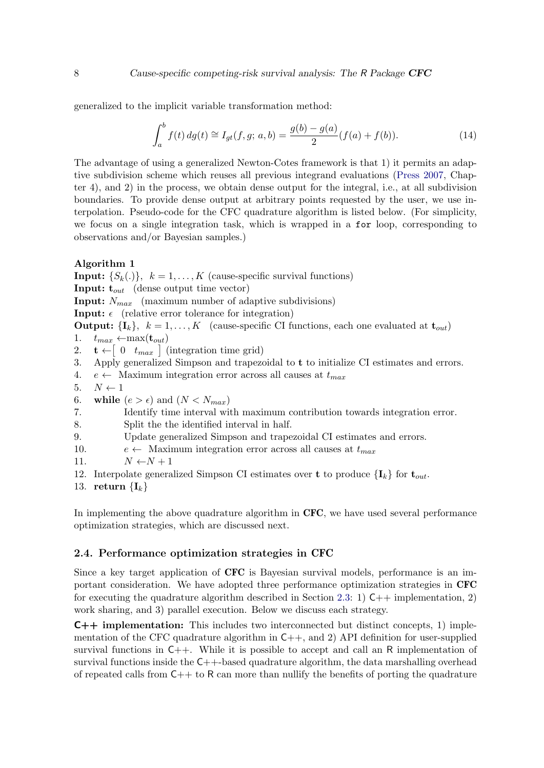generalized to the implicit variable transformation method:

<span id="page-7-0"></span>
$$
\int_{a}^{b} f(t) dg(t) \cong I_{gt}(f, g; a, b) = \frac{g(b) - g(a)}{2} (f(a) + f(b)).
$$
\n(14)

The advantage of using a generalized Newton-Cotes framework is that 1) it permits an adaptive subdivision scheme which reuses all previous integrand evaluations [\(Press](#page-24-9) [2007,](#page-24-9) Chapter 4), and 2) in the process, we obtain dense output for the integral, i.e., at all subdivision boundaries. To provide dense output at arbitrary points requested by the user, we use interpolation. Pseudo-code for the CFC quadrature algorithm is listed below. (For simplicity, we focus on a single integration task, which is wrapped in a for loop, corresponding to observations and/or Bayesian samples.)

#### <span id="page-7-1"></span>Algorithm 1

**Input:**  $\{S_k(.)\}$ ,  $k = 1, ..., K$  (cause-specific survival functions) **Input:**  $t_{out}$  (dense output time vector) **Input:**  $N_{max}$  (maximum number of adaptive subdivisions) **Input:**  $\epsilon$  (relative error tolerance for integration) **Output:**  $\{I_k\}, k = 1, ..., K$  (cause-specific CI functions, each one evaluated at  $t_{out}$ ) 1.  $t_{max} \leftarrow max(\mathbf{t}_{out})$ 2.  $\mathbf{t} \leftarrow \begin{bmatrix} 0 & t_{max} \end{bmatrix}$  (integration time grid) 3. Apply generalized Simpson and trapezoidal to t to initialize CI estimates and errors. 4.  $e \leftarrow$  Maximum integration error across all causes at  $t_{max}$ 

- 5.  $N \leftarrow 1$
- 6. while  $(e > \epsilon)$  and  $(N < N_{max})$
- 7. Identify time interval with maximum contribution towards integration error.
- 8. Split the the identified interval in half.
- 9. Update generalized Simpson and trapezoidal CI estimates and errors.
- 10.  $e \leftarrow$  Maximum integration error across all causes at  $t_{max}$
- 11.  $N \leftarrow N + 1$

```
12. Interpolate generalized Simpson CI estimates over t to produce \{I_k\} for t_{out}.
```
13. return  $\{I_k\}$ 

In implementing the above quadrature algorithm in CFC, we have used several performance optimization strategies, which are discussed next.

#### 2.4. Performance optimization strategies in CFC

Since a key target application of **CFC** is Bayesian survival models, performance is an important consideration. We have adopted three performance optimization strategies in CFC for executing the quadrature algorithm described in Section [2.3:](#page-5-0) 1)  $C++$  implementation, 2) work sharing, and 3) parallel execution. Below we discuss each strategy.

C++ implementation: This includes two interconnected but distinct concepts, 1) implementation of the CFC quadrature algorithm in  $C_{++}$ , and 2) API definition for user-supplied survival functions in  $C_{++}$ . While it is possible to accept and call an R implementation of survival functions inside the  $C_{++}$ -based quadrature algorithm, the data marshalling overhead of repeated calls from  $C++$  to R can more than nullify the benefits of porting the quadrature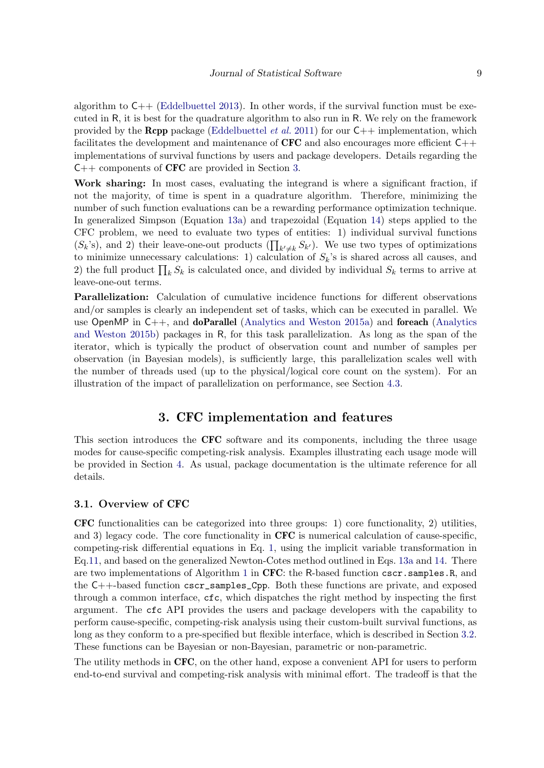algorithm to  $C_{++}$  [\(Eddelbuettel](#page-22-4) [2013\)](#page-22-4). In other words, if the survival function must be executed in R, it is best for the quadrature algorithm to also run in R. We rely on the framework provided by the **Rcpp** package [\(Eddelbuettel](#page-23-8) *et al.* [2011\)](#page-23-8) for our  $C++$  implementation, which facilitates the development and maintenance of  $CFC$  and also encourages more efficient  $C++$ implementations of survival functions by users and package developers. Details regarding the  $C++$  components of CFC are provided in Section [3.](#page-8-0)

Work sharing: In most cases, evaluating the integrand is where a significant fraction, if not the majority, of time is spent in a quadrature algorithm. Therefore, minimizing the number of such function evaluations can be a rewarding performance optimization technique. In generalized Simpson (Equation [13a\)](#page-3-1) and trapezoidal (Equation [14\)](#page-7-0) steps applied to the CFC problem, we need to evaluate two types of entities: 1) individual survival functions  $(S_k\text{'s})$ , and 2) their leave-one-out products  $(\prod_{k'\neq k} S_{k'})$ . We use two types of optimizations to minimize unnecessary calculations: 1) calculation of  $S_k$ 's is shared across all causes, and 2) the full product  $\prod_k S_k$  is calculated once, and divided by individual  $S_k$  terms to arrive at leave-one-out terms.

Parallelization: Calculation of cumulative incidence functions for different observations and/or samples is clearly an independent set of tasks, which can be executed in parallel. We use OpenMP in  $C_{++}$ , and **doParallel** [\(Analytics and Weston](#page-22-5) [2015a\)](#page-22-5) and **foreach** [\(Analytics](#page-22-6) [and Weston](#page-22-6) [2015b\)](#page-22-6) packages in R, for this task parallelization. As long as the span of the iterator, which is typically the product of observation count and number of samples per observation (in Bayesian models), is sufficiently large, this parallelization scales well with the number of threads used (up to the physical/logical core count on the system). For an illustration of the impact of parallelization on performance, see Section [4.3.](#page-16-0)

# 3. CFC implementation and features

<span id="page-8-0"></span>This section introduces the CFC software and its components, including the three usage modes for cause-specific competing-risk analysis. Examples illustrating each usage mode will be provided in Section [4.](#page-10-0) As usual, package documentation is the ultimate reference for all details.

#### 3.1. Overview of CFC

CFC functionalities can be categorized into three groups: 1) core functionality, 2) utilities, and 3) legacy code. The core functionality in CFC is numerical calculation of cause-specific, competing-risk differential equations in Eq. [1,](#page-3-1) using the implicit variable transformation in Eq[.11,](#page-6-0) and based on the generalized Newton-Cotes method outlined in Eqs. [13a](#page-3-1) and [14.](#page-7-0) There are two implementations of Algorithm [1](#page-7-1) in CFC: the R-based function cscr.samples.R, and the C++-based function cscr\_samples\_Cpp. Both these functions are private, and exposed through a common interface, cfc, which dispatches the right method by inspecting the first argument. The cfc API provides the users and package developers with the capability to perform cause-specific, competing-risk analysis using their custom-built survival functions, as long as they conform to a pre-specified but flexible interface, which is described in Section [3.2.](#page-9-0) These functions can be Bayesian or non-Bayesian, parametric or non-parametric.

The utility methods in CFC, on the other hand, expose a convenient API for users to perform end-to-end survival and competing-risk analysis with minimal effort. The tradeoff is that the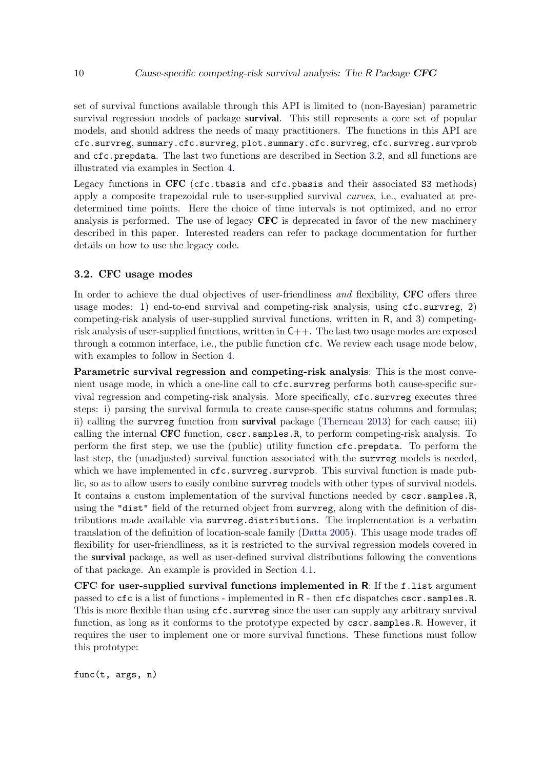set of survival functions available through this API is limited to (non-Bayesian) parametric survival regression models of package **survival**. This still represents a core set of popular models, and should address the needs of many practitioners. The functions in this API are cfc.survreg, summary.cfc.survreg, plot.summary.cfc.survreg, cfc.survreg.survprob and cfc.prepdata. The last two functions are described in Section [3.2,](#page-9-0) and all functions are illustrated via examples in Section [4.](#page-10-0)

Legacy functions in CFC (cfc.tbasis and cfc.pbasis and their associated S3 methods) apply a composite trapezoidal rule to user-supplied survival curves, i.e., evaluated at predetermined time points. Here the choice of time intervals is not optimized, and no error analysis is performed. The use of legacy **CFC** is deprecated in favor of the new machinery described in this paper. Interested readers can refer to package documentation for further details on how to use the legacy code.

#### <span id="page-9-0"></span>3.2. CFC usage modes

In order to achieve the dual objectives of user-friendliness and flexibility, CFC offers three usage modes: 1) end-to-end survival and competing-risk analysis, using  $\texttt{cc}$ -survreg, 2) competing-risk analysis of user-supplied survival functions, written in R, and 3) competingrisk analysis of user-supplied functions, written in  $C_{++}$ . The last two usage modes are exposed through a common interface, i.e., the public function cfc. We review each usage mode below, with examples to follow in Section [4.](#page-10-0)

Parametric survival regression and competing-risk analysis: This is the most convenient usage mode, in which a one-line call to cfc.survreg performs both cause-specific survival regression and competing-risk analysis. More specifically,  $cfc$  survreg executes three steps: i) parsing the survival formula to create cause-specific status columns and formulas; ii) calling the survreg function from survival package [\(Therneau](#page-24-13) [2013\)](#page-24-13) for each cause; iii) calling the internal CFC function, cscr.samples.R, to perform competing-risk analysis. To perform the first step, we use the (public) utility function cfc.prepdata. To perform the last step, the (unadjusted) survival function associated with the survreg models is needed, which we have implemented in  $\texttt{cfc.survreg.survprob}$ . This survival function is made public, so as to allow users to easily combine survreg models with other types of survival models. It contains a custom implementation of the survival functions needed by cscr.samples.R, using the "dist" field of the returned object from survreg, along with the definition of distributions made available via survreg.distributions. The implementation is a verbatim translation of the definition of location-scale family [\(Datta](#page-22-7) [2005\)](#page-22-7). This usage mode trades off flexibility for user-friendliness, as it is restricted to the survival regression models covered in the survival package, as well as user-defined survival distributions following the conventions of that package. An example is provided in Section [4.1.](#page-10-1)

CFC for user-supplied survival functions implemented in R: If the f.list argument passed to cfc is a list of functions - implemented in R - then cfc dispatches cscr.samples.R. This is more flexible than using  $cfc$ . survreg since the user can supply any arbitrary survival function, as long as it conforms to the prototype expected by cscr.samples.R. However, it requires the user to implement one or more survival functions. These functions must follow this prototype:

func(t, args, n)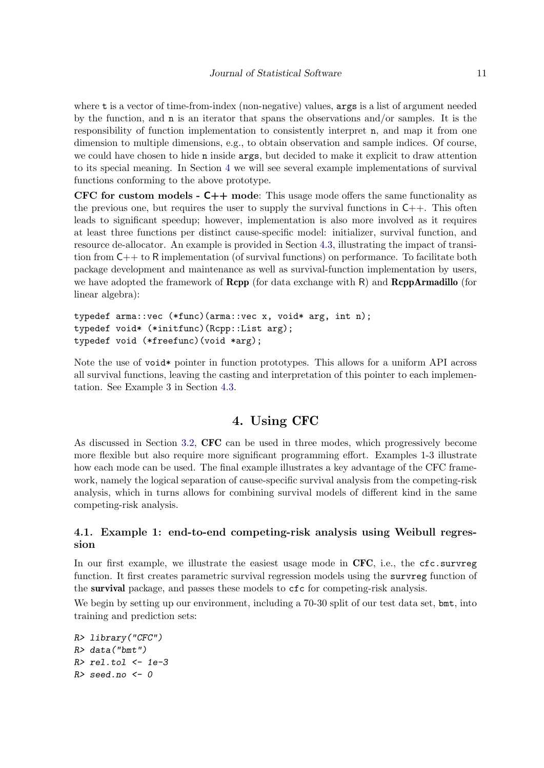where t is a vector of time-from-index (non-negative) values, args is a list of argument needed by the function, and n is an iterator that spans the observations and/or samples. It is the responsibility of function implementation to consistently interpret n, and map it from one dimension to multiple dimensions, e.g., to obtain observation and sample indices. Of course, we could have chosen to hide n inside args, but decided to make it explicit to draw attention to its special meaning. In Section [4](#page-10-0) we will see several example implementations of survival functions conforming to the above prototype.

CFC for custom models  $\text{-}$  C++ mode: This usage mode offers the same functionality as the previous one, but requires the user to supply the survival functions in  $C_{++}$ . This often leads to significant speedup; however, implementation is also more involved as it requires at least three functions per distinct cause-specific model: initializer, survival function, and resource de-allocator. An example is provided in Section [4.3,](#page-16-0) illustrating the impact of transition from C++ to R implementation (of survival functions) on performance. To facilitate both package development and maintenance as well as survival-function implementation by users, we have adopted the framework of  $\mathbf{Rcpp}$  (for data exchange with  $\mathsf{R}$ ) and  $\mathbf{RcppArmadillo}$  (for linear algebra):

```
typedef arma::vec (*func)(arma::vec x, void* arg, int n);
typedef void* (*initfunc)(Rcpp::List arg);
typedef void (*freefunc)(void *arg);
```
Note the use of void\* pointer in function prototypes. This allows for a uniform API across all survival functions, leaving the casting and interpretation of this pointer to each implementation. See Example 3 in Section [4.3.](#page-16-0)

# 4. Using CFC

<span id="page-10-0"></span>As discussed in Section [3.2,](#page-9-0) CFC can be used in three modes, which progressively become more flexible but also require more significant programming effort. Examples 1-3 illustrate how each mode can be used. The final example illustrates a key advantage of the CFC framework, namely the logical separation of cause-specific survival analysis from the competing-risk analysis, which in turns allows for combining survival models of different kind in the same competing-risk analysis.

#### <span id="page-10-1"></span>4.1. Example 1: end-to-end competing-risk analysis using Weibull regression

In our first example, we illustrate the easiest usage mode in  $CFC$ , i.e., the  $\epsilon$ fc.survreg function. It first creates parametric survival regression models using the survreg function of the survival package, and passes these models to cfc for competing-risk analysis.

We begin by setting up our environment, including a 70-30 split of our test data set, bmt, into training and prediction sets:

```
R> library("CFC")
R> data("bmt")
R > rel.tol <- 1e-3
R > seed.no \leq -0
```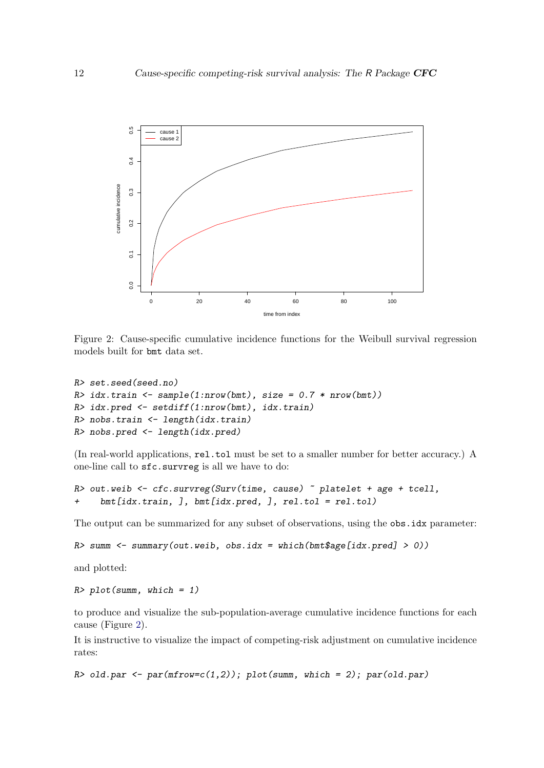<span id="page-11-0"></span>

Figure 2: Cause-specific cumulative incidence functions for the Weibull survival regression models built for bmt data set.

```
R> set.seed(seed.no)
R> idx.train <- sample(1:nrow(bmt), size = 0.7 * nrow(bmt))
R> idx.pred <- setdiff(1:nrow(bmt), idx.train)
R> nobs.train <- length(idx.train)
R> nobs.pred <- length(idx.pred)
```
(In real-world applications, rel.tol must be set to a smaller number for better accuracy.) A one-line call to sfc.survreg is all we have to do:

```
R out.weib \leq cfc.survreg(Surv(time, cause) \sim platelet + age + tcell,
     bmt[idx.train,], bmt[idx.pred,], rel.tol = rel.tol)
```
The output can be summarized for any subset of observations, using the obs.idx parameter:

```
R> summ <- summary(out.weib, obs.idx = which(bmt$age[idx.pred] > 0))
```
and plotted:

 $R$ > plot(summ, which = 1)

to produce and visualize the sub-population-average cumulative incidence functions for each cause (Figure [2\)](#page-11-0).

It is instructive to visualize the impact of competing-risk adjustment on cumulative incidence rates:

```
R> old.par <- par(mfrow=c(1,2)); plot(summ, which = 2); par(old.par)
```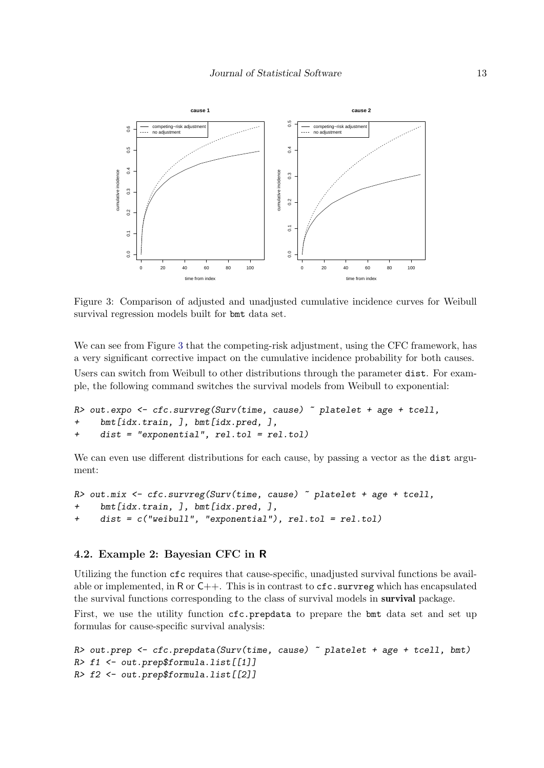<span id="page-12-0"></span>

Figure 3: Comparison of adjusted and unadjusted cumulative incidence curves for Weibull survival regression models built for bmt data set.

We can see from Figure [3](#page-12-0) that the competing-risk adjustment, using the CFC framework, has a very significant corrective impact on the cumulative incidence probability for both causes. Users can switch from Weibull to other distributions through the parameter dist. For example, the following command switches the survival models from Weibull to exponential:

```
R> out.expo <- cfc.survreg(Surv(time, cause) \tilde{ } platelet + age + tcell,
     bmt[idx.train, ], bmt[idx.pred, ],
+ dist = "exponential", rel.tol = rel.tol)
```
We can even use different distributions for each cause, by passing a vector as the dist argument:

```
R> out.mix <- cfc.survreg(Surv(time, cause) \tilde{ } platelet + age + tcell,
     bmt[idx.train, ], bmt[idx.pred, ],
+ dist = c("weibull", "exponential"), rel.tol = rel.tol)
```
#### 4.2. Example 2: Bayesian CFC in R

Utilizing the function cfc requires that cause-specific, unadjusted survival functions be available or implemented, in R or  $C_{++}$ . This is in contrast to  $cfc$  survreg which has encapsulated the survival functions corresponding to the class of survival models in survival package.

First, we use the utility function  $cfc$ , prepdata to prepare the bmt data set and set up formulas for cause-specific survival analysis:

```
R> out.prep <- cfc.prepdata(Surv(time, cause) ~ platelet + age + tcell, bmt)
R> f1 <- out.prep$formula.list[[1]]
R> f2 <- out.prep$formula.list[[2]]
```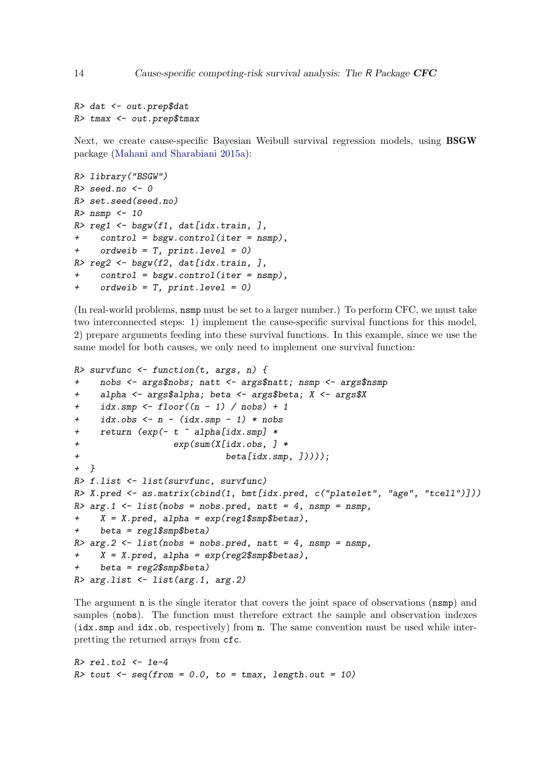```
R> dat <- out.prep$dat
R> tmax <- out.prep$tmax
```
Next, we create cause-specific Bayesian Weibull survival regression models, using BSGW package [\(Mahani and Sharabiani](#page-24-5) [2015a\)](#page-24-5):

```
R> library("BSGW")
R> seed.no <- 0
R> set.seed(seed.no)
R> nsmp <-10R> reg1 <- bsgw(f1, dat[idx.train, ],
+ control = bsgw.control(iter = nsmp),
+ ordweib = T, print.level = 0)
R> reg2 <- bsgw(f2, dat[idx.train, ],
     control = bsgw.contrib(iter = nsmp),
+ ordweib = T, print.level = 0)
```
(In real-world problems, nsmp must be set to a larger number.) To perform CFC, we must take two interconnected steps: 1) implement the cause-specific survival functions for this model, 2) prepare arguments feeding into these survival functions. In this example, since we use the same model for both causes, we only need to implement one survival function:

```
R> survfunc \leq function(t, args, n) {
+ nobs <- args$nobs; natt <- args$natt; nsmp <- args$nsmp
+ alpha <- args$alpha; beta <- args$beta; X <- args$X
+ idx.smp <- floor((n - 1) / nobs) + 1
     idx.obs < - n - (idx.smp - 1) * nobsreturn (exp(- t \hat{\ } alpha[idx.smp] *+ exp(sum(X[idx.obs, ] *
+ beta[idx.smp, ]))));
+ }
R> f.list <- list(survfunc, survfunc)
R> X. pred < -as.matrix(cbind(1, bmt[idx.pred, c("platelet", "age", "tcell"))))R > arg.1 <- list(nobs = nobs.pred, natt = 4, nsmp = nsmp,
+ X = X.\text{pred}, \text{alpha} = \exp(\text{reg1}\$\text{smp}\$\text{beta},
     beta = \text{reg1}}fsmp$beta)
R > arg.2 \leq 1ist(nobs = nobs.pred, natt = 4, nsmp = nsmp,+ X = X.\text{pred}, \text{alpha} = \exp(\text{reg2}\$\text{smp}\$\text{beta}),+ beta = reg2$smp$beta)
R> arg.list <- list(arg.1, arg.2)
```
The argument n is the single iterator that covers the joint space of observations (nsmp) and samples (nobs). The function must therefore extract the sample and observation indexes (idx.smp and idx.ob, respectively) from n. The same convention must be used while interpretting the returned arrays from cfc.

 $R$ >  $rel.tol$  <-  $1e-4$  $R$ > tout  $\leq$  seq(from = 0.0, to = tmax, length.out = 10)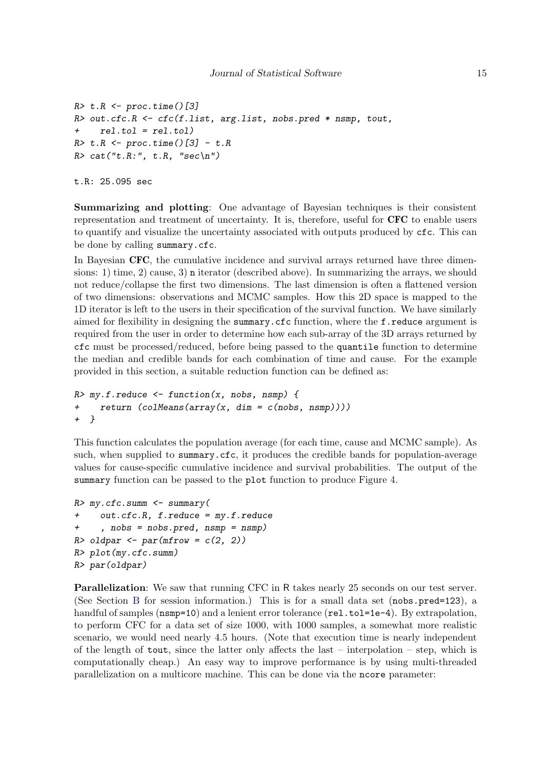```
R> t.R <- proc.time()[3]
R> out.cfc.R <- cfc(f.list, arg.list, nobs.pred * nsmp, tout,
+ rel.tol = rel.tol)
R> t.R <- proc.time() [3] - t.RR> cat("t.R:", t.R, "sec\n")
```
t.R: 25.095 sec

Summarizing and plotting: One advantage of Bayesian techniques is their consistent representation and treatment of uncertainty. It is, therefore, useful for CFC to enable users to quantify and visualize the uncertainty associated with outputs produced by cfc. This can be done by calling summary.cfc.

In Bayesian CFC, the cumulative incidence and survival arrays returned have three dimensions: 1) time, 2) cause, 3) n iterator (described above). In summarizing the arrays, we should not reduce/collapse the first two dimensions. The last dimension is often a flattened version of two dimensions: observations and MCMC samples. How this 2D space is mapped to the 1D iterator is left to the users in their specification of the survival function. We have similarly aimed for flexibility in designing the summary.cfc function, where the f.reduce argument is required from the user in order to determine how each sub-array of the 3D arrays returned by cfc must be processed/reduced, before being passed to the quantile function to determine the median and credible bands for each combination of time and cause. For the example provided in this section, a suitable reduction function can be defined as:

```
R > my.f.readuce < -function(x, nobs, nsmp) {
+ return (colMeans(array(x, dim = c(nobs, nsmp))))
+ }
```
This function calculates the population average (for each time, cause and MCMC sample). As such, when supplied to summary.cfc, it produces the credible bands for population-average values for cause-specific cumulative incidence and survival probabilities. The output of the summary function can be passed to the plot function to produce Figure [4.](#page-15-0)

```
R> my.cfc.summ <- summary(
+ out.cfc.R, f.reduce = my.f.reduce
+ , nobs = nobs.pred, nsmp = nsmp)
R> oldpar \leq par(mfrow = c(2, 2))
R> plot(my.cfc.summ)
R> par(oldpar)
```
Parallelization: We saw that running CFC in R takes nearly 25 seconds on our test server. (See Section [B](#page-25-0) for session information.) This is for a small data set (nobs.pred=123), a handful of samples ( $n s m p=10$ ) and a lenient error tolerance ( $rel.tol=1e-4$ ). By extrapolation, to perform CFC for a data set of size 1000, with 1000 samples, a somewhat more realistic scenario, we would need nearly 4.5 hours. (Note that execution time is nearly independent of the length of tout, since the latter only affects the last – interpolation – step, which is computationally cheap.) An easy way to improve performance is by using multi-threaded parallelization on a multicore machine. This can be done via the ncore parameter: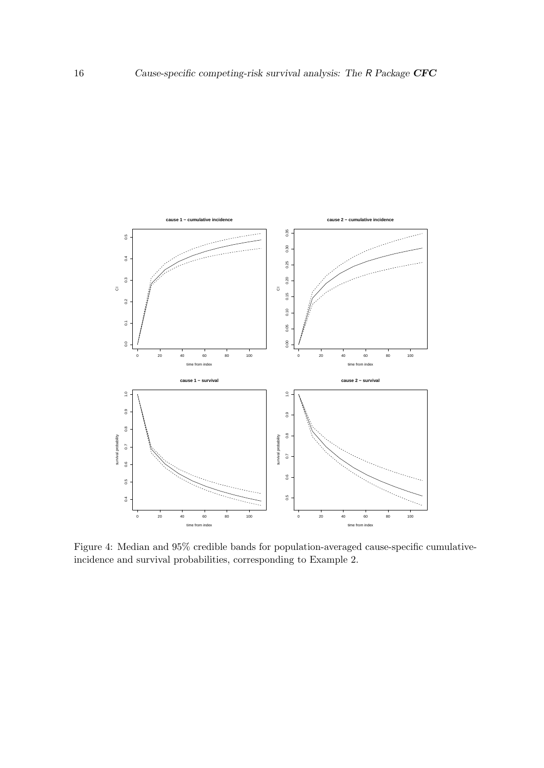<span id="page-15-0"></span>

Figure 4: Median and 95% credible bands for population-averaged cause-specific cumulativeincidence and survival probabilities, corresponding to Example 2.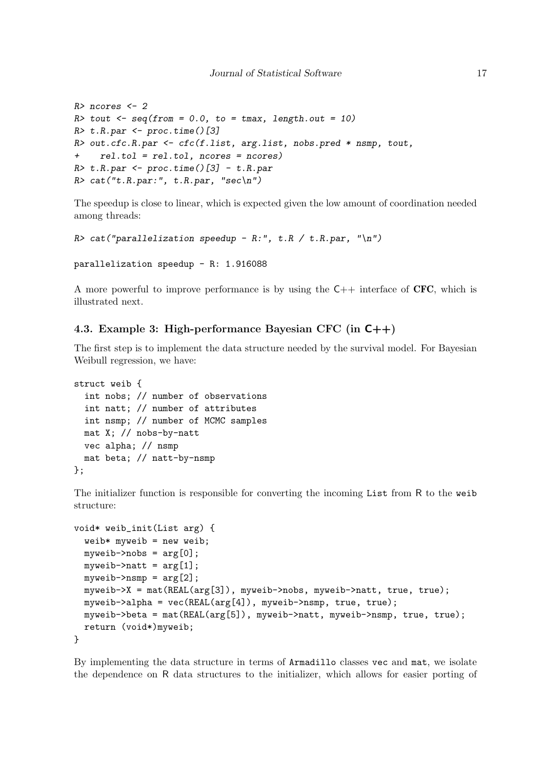```
R> ncores <- 2
R> tout \leq seq(from = 0.0, to = tmax, length.out = 10)
R> t.R.par <- proc.time()[3]
R> out.cfc.R.par <- cfc(f.list, arg.list, nobs.pred * nsmp, tout,
+ rel.tol = rel.tol, ncores = ncores)
R> t.R.par <- proc.time()[3] - t.R.par
R> cat("t.R.par:", t.R.par, "sec\n")
```
The speedup is close to linear, which is expected given the low amount of coordination needed among threads:

```
R> cat("parallelization speedup - R:", t.R / t.R.par, "\n")
```

```
parallelization speedup - R: 1.916088
```
A more powerful to improve performance is by using the  $C_{++}$  interface of CFC, which is illustrated next.

#### <span id="page-16-0"></span>4.3. Example 3: High-performance Bayesian CFC (in C++)

The first step is to implement the data structure needed by the survival model. For Bayesian Weibull regression, we have:

```
struct weib {
  int nobs; // number of observations
  int natt; // number of attributes
  int nsmp; // number of MCMC samples
  mat X; // nobs-by-natt
  vec alpha; // nsmp
 mat beta; // natt-by-nsmp
};
```
The initializer function is responsible for converting the incoming List from R to the weib structure:

```
void* weib_init(List arg) {
  weib* myweib = new weib;
  myweib\text{-}\text{-}\text{nobs} = arg[0];myweib->natt = \arg[1];
  myweib\rightarrow nsmp = arg[2];myweib->X = mat(REAL(arg[3]), myweib->nobs, myweib->natt, true, true);
  myweib->alpha = vec(REAL(arg[4]), myweib->nsmp, true, true);
  myweib->beta = mat(REAL(arg[5]), myweib->natt, myweib->nsmp, true, true);
  return (void*)myweib;
}
```
By implementing the data structure in terms of Armadillo classes vec and mat, we isolate the dependence on R data structures to the initializer, which allows for easier porting of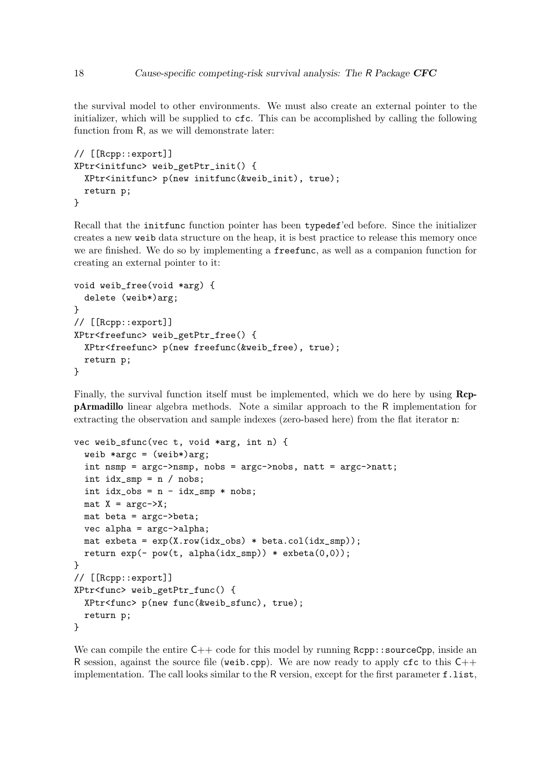the survival model to other environments. We must also create an external pointer to the initializer, which will be supplied to cfc. This can be accomplished by calling the following function from R, as we will demonstrate later:

```
// [[Rcpp::export]]
XPtr<initfunc> weib_getPtr_init() {
  XPtr<initfunc> p(new initfunc(&weib_init), true);
  return p;
}
```
Recall that the initfunc function pointer has been typedef'ed before. Since the initializer creates a new weib data structure on the heap, it is best practice to release this memory once we are finished. We do so by implementing a freefunc, as well as a companion function for creating an external pointer to it:

```
void weib_free(void *arg) {
  delete (weib*)arg;
}
// [[Rcpp::export]]
XPtr<freefunc> weib_getPtr_free() {
  XPtr<freefunc> p(new freefunc(&weib_free), true);
  return p;
}
```
Finally, the survival function itself must be implemented, which we do here by using RcppArmadillo linear algebra methods. Note a similar approach to the R implementation for extracting the observation and sample indexes (zero-based here) from the flat iterator n:

```
vec weib_sfunc(vec t, void *arg, int n) {
  weib *argc = (weib*)arg;int nsmp = argc->nsmp, nobs = argc->nobs, natt = argc->natt;
  int idx\_smp = n / nobs;int idx\_obs = n - idx\_smp * nobs;\text{mat } X = \text{argc-} \geq X;mat beta = argc->beta;
  vec alpha = argc->alpha;
  mat exbeta = exp(X-row(idx\_obs) * beta,col(idx\_smp));return exp(-)pow(t, alpha(idx_smp)) * exbeta(0,0));}
// [[Rcpp::export]]
XPtr<func> weib_getPtr_func() {
  XPtr<func> p(new func(&weib_sfunc), true);
  return p;
}
```
We can compile the entire  $C_{++}$  code for this model by running  $Rcpp::sourceCpp$ , inside an R session, against the source file (weib.cpp). We are now ready to apply cfc to this  $C++$ implementation. The call looks similar to the R version, except for the first parameter f.list,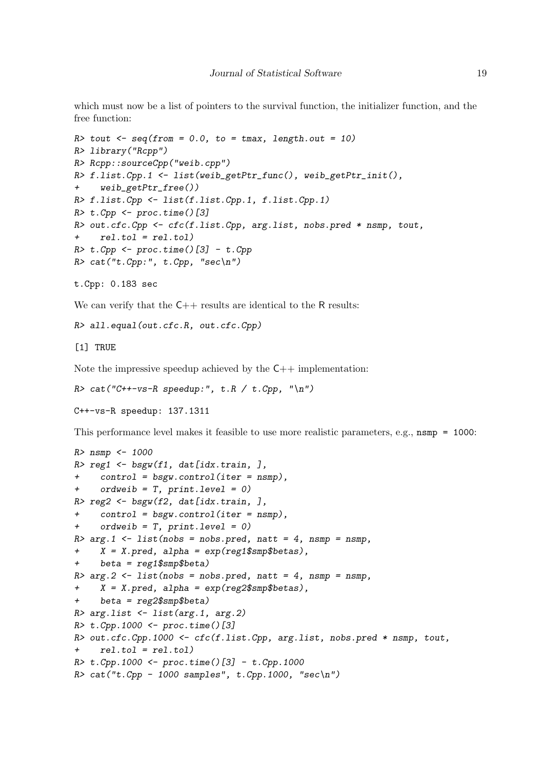which must now be a list of pointers to the survival function, the initializer function, and the free function:

```
R> tout \leq seq(from = 0.0, to = tmax, length.out = 10)
R> library("Rcpp")
R> Rcpp::sourceCpp("weib.cpp")
R> f.list.Cpp.1 <- list(weib_getPtr_func(), weib_getPtr_init(),
+ weib_getPtr_free())
R> f.list.Cpp <- list(f.list.Cpp.1, f.list.Cpp.1)
R> t.Cpp <- proc.time()[3]
R> out.cfc.Cpp <- cfc(f.list.Cpp, arg.list, nobs.pred * nsmp, tout,
+ rel.tol = rel.tol)
R> t.Cpp <- proc.time()[3] - t.Cpp
R> cat("t.Cpp:", t.Cpp, "sec\n")
```

```
t.Cpp: 0.183 sec
```
We can verify that the  $C_{++}$  results are identical to the R results:

```
R> all.equal(out.cfc.R, out.cfc.Cpp)
```
[1] TRUE

Note the impressive speedup achieved by the  $C_{++}$  implementation:

```
R > cat('C++-vs-R speedup.'', t.R / t.Cpp, ''\n')
```
C++-vs-R speedup: 137.1311

This performance level makes it feasible to use more realistic parameters, e.g., nsmp = 1000:

```
R> nsmp <- 1000
R> reg1 <- bsgw(f1, dat[idx.train, ],
+ control = bsgw.control(iter = nsmp),
     ordweb = T, print<math>level = 0)
R> reg2 <- bsgw(f2, dat[idx.train, ],
+ control = bsgw.control(iter = nsmp),
+ ordweib = T, print.level = 0)
R > arg.1 <- list(nobs = nobs.pred, natt = 4, nsmp = nsmp,
+ X = X.pred, alpha = exp(reg1$smp$betas),
+ beta = reg1$smp$beta)
R > arg.2 \leq 1ist(nobs = nobs.pred, natt = 4, nsmp = nsmp,+ X = X.pred, alpha = exp(reg2$smp$betas),
+ beta = reg2$smp$beta)
R> arg.list <- list(arg.1, arg.2)
R t. Cpp. 1000 <- proc. time()[3]
R> out.cfc.Cpp.1000 <- cfc(f.list.Cpp, arg.list, nobs.pred * nsmp, tout,
+ rel.tol = rel.tol)
R > t.Cpp.1000 < - proc.time()[3] - t.Cpp.1000
R > cat("t.Cpp - 1000 samples", t.Cpp.1000, "sec\n")
```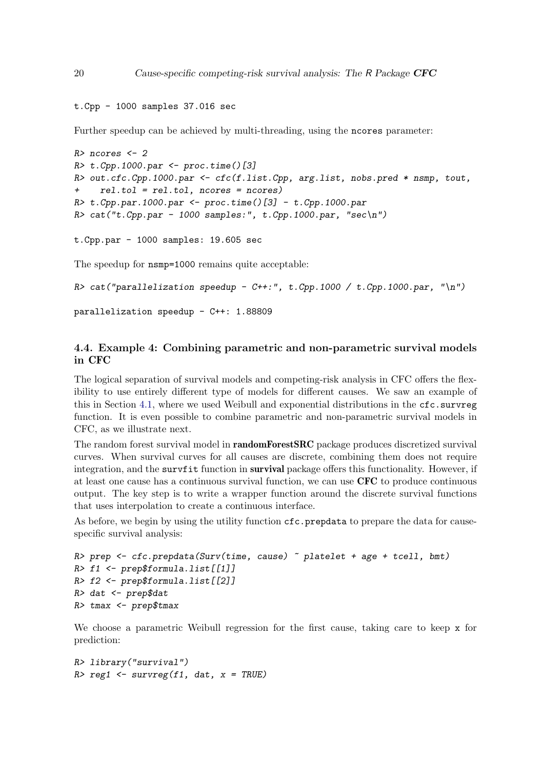```
t.Cpp - 1000 samples 37.016 sec
```
Further speedup can be achieved by multi-threading, using the ncores parameter:

```
R> ncores <- 2
R> t.Cpp.1000.par <- proc.time()[3]
R> out.cfc.Cpp.1000.par <- cfc(f.list.Cpp, arg.list, nobs.pred * nsmp, tout,
+ rel.tol = rel.tol, ncores = ncores)
R> t.Cpp.par.1000.par <- proc.time()[3] - t.Cpp.1000.par
R> cat("t.Cpp.par - 1000 samples:", t.Cpp.1000.par, "sec\n")
t.Cpp.par - 1000 samples: 19.605 sec
The speedup for nsmp=1000 remains quite acceptable:
R> cat("parallelization speedup - C++:", t.Cpp.1000 / t.Cpp.1000.par, "\n")
```

```
parallelization speedup - C++: 1.88809
```
## 4.4. Example 4: Combining parametric and non-parametric survival models in CFC

The logical separation of survival models and competing-risk analysis in CFC offers the flexibility to use entirely different type of models for different causes. We saw an example of this in Section [4.1,](#page-10-1) where we used Weibull and exponential distributions in the  $cfc$  survreg function. It is even possible to combine parametric and non-parametric survival models in CFC, as we illustrate next.

The random forest survival model in randomForestSRC package produces discretized survival curves. When survival curves for all causes are discrete, combining them does not require integration, and the survist function in survival package offers this functionality. However, if at least one cause has a continuous survival function, we can use CFC to produce continuous output. The key step is to write a wrapper function around the discrete survival functions that uses interpolation to create a continuous interface.

As before, we begin by using the utility function  $\mathsf{cfc}.\mathsf{preptata}$  to prepare the data for causespecific survival analysis:

```
R> prep \le cfc.prepdata(Surv(time, cause) \sim platelet + age + tcell, bmt)
R> f1 <- prep$formula.list[[1]]
R> f2 <- prep$formula.list[[2]]
R> dat <- prep$dat
R> tmax <- prep$tmax
```
We choose a parametric Weibull regression for the first cause, taking care to keep x for prediction:

```
R> library("survival")
R> reg1 <- survreg(f1, dat, x = TRUE)
```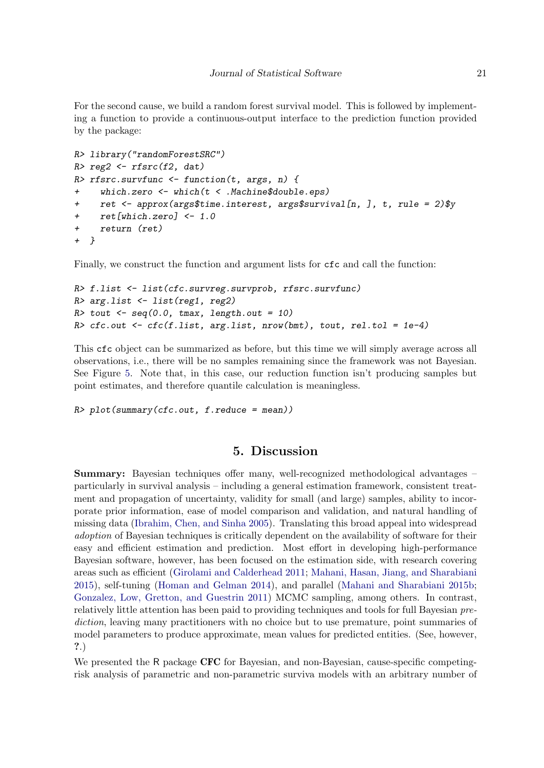For the second cause, we build a random forest survival model. This is followed by implementing a function to provide a continuous-output interface to the prediction function provided by the package:

```
R> library("randomForestSRC")
R> reg2 <- rfsrc(f2, dat)
R> rfsrc.survfunc <- function(t, args, n) {
+ which.zero <- which(t < .Machine$double.eps)
    ret <- approx(args$time.interest, args$survival[n, ], t, rule = 2)$y
+ ret[which.zero] <- 1.0
+ return (ret)
+ }
```
Finally, we construct the function and argument lists for cfc and call the function:

```
R> f.list <- list(cfc.survreg.survprob, rfsrc.survfunc)
R> arg.list <- list(reg1, reg2)
R> tout \leq seq(0.0, tmax, length.out = 10)
R> cfc.out <- cfc(f.list, arg.list, nrow(bmt), tout, rel.tol = 1e-4)
```
This cfc object can be summarized as before, but this time we will simply average across all observations, i.e., there will be no samples remaining since the framework was not Bayesian. See Figure [5.](#page-21-0) Note that, in this case, our reduction function isn't producing samples but point estimates, and therefore quantile calculation is meaningless.

```
R> plot(summary(cfc.out, f.reduce = mean))
```
# 5. Discussion

<span id="page-20-0"></span>Summary: Bayesian techniques offer many, well-recognized methodological advantages – particularly in survival analysis – including a general estimation framework, consistent treatment and propagation of uncertainty, validity for small (and large) samples, ability to incorporate prior information, ease of model comparison and validation, and natural handling of missing data [\(Ibrahim, Chen, and Sinha](#page-23-12) [2005\)](#page-23-12). Translating this broad appeal into widespread adoption of Bayesian techniques is critically dependent on the availability of software for their easy and efficient estimation and prediction. Most effort in developing high-performance Bayesian software, however, has been focused on the estimation side, with research covering areas such as efficient [\(Girolami and Calderhead](#page-23-13) [2011;](#page-23-13) [Mahani, Hasan, Jiang, and Sharabiani](#page-24-14) [2015\)](#page-24-14), self-tuning [\(Homan and Gelman](#page-23-14) [2014\)](#page-23-14), and parallel [\(Mahani and Sharabiani](#page-24-15) [2015b;](#page-24-15) [Gonzalez, Low, Gretton, and Guestrin](#page-23-15) [2011\)](#page-23-15) MCMC sampling, among others. In contrast, relatively little attention has been paid to providing techniques and tools for full Bayesian prediction, leaving many practitioners with no choice but to use premature, point summaries of model parameters to produce approximate, mean values for predicted entities. (See, however, ?.)

We presented the R package CFC for Bayesian, and non-Bayesian, cause-specific competingrisk analysis of parametric and non-parametric surviva models with an arbitrary number of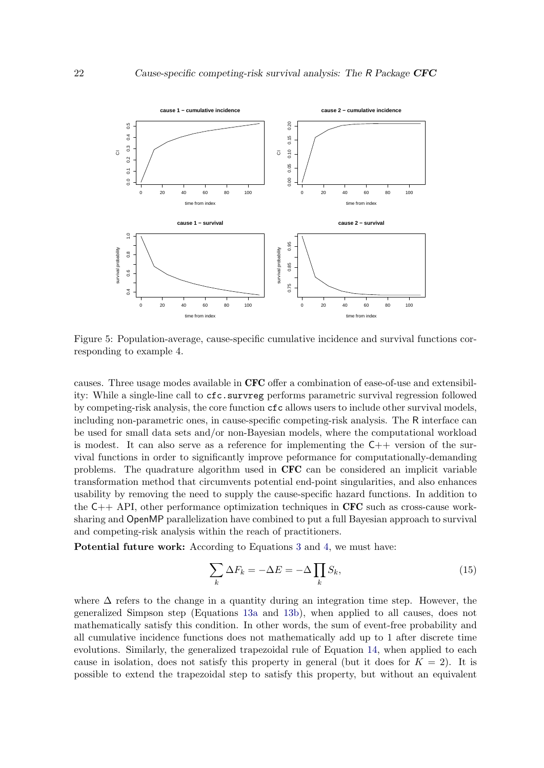<span id="page-21-0"></span>

Figure 5: Population-average, cause-specific cumulative incidence and survival functions corresponding to example 4.

causes. Three usage modes available in CFC offer a combination of ease-of-use and extensibility: While a single-line call to  $cfc.survreg$  performs parametric survival regression followed by competing-risk analysis, the core function cfc allows users to include other survival models, including non-parametric ones, in cause-specific competing-risk analysis. The R interface can be used for small data sets and/or non-Bayesian models, where the computational workload is modest. It can also serve as a reference for implementing the  $C_{++}$  version of the survival functions in order to significantly improve peformance for computationally-demanding problems. The quadrature algorithm used in CFC can be considered an implicit variable transformation method that circumvents potential end-point singularities, and also enhances usability by removing the need to supply the cause-specific hazard functions. In addition to the  $C_{++}$  API, other performance optimization techniques in CFC such as cross-cause worksharing and OpenMP parallelization have combined to put a full Bayesian approach to survival and competing-risk analysis within the reach of practitioners.

Potential future work: According to Equations [3](#page-3-3) and [4,](#page-4-3) we must have:

<span id="page-21-1"></span>
$$
\sum_{k} \Delta F_k = -\Delta E = -\Delta \prod_{k} S_k,\tag{15}
$$

where  $\Delta$  refers to the change in a quantity during an integration time step. However, the generalized Simpson step (Equations [13a](#page-3-1) and [13b\)](#page-3-2), when applied to all causes, does not mathematically satisfy this condition. In other words, the sum of event-free probability and all cumulative incidence functions does not mathematically add up to 1 after discrete time evolutions. Similarly, the generalized trapezoidal rule of Equation [14,](#page-7-0) when applied to each cause in isolation, does not satisfy this property in general (but it does for  $K = 2$ ). It is possible to extend the trapezoidal step to satisfy this property, but without an equivalent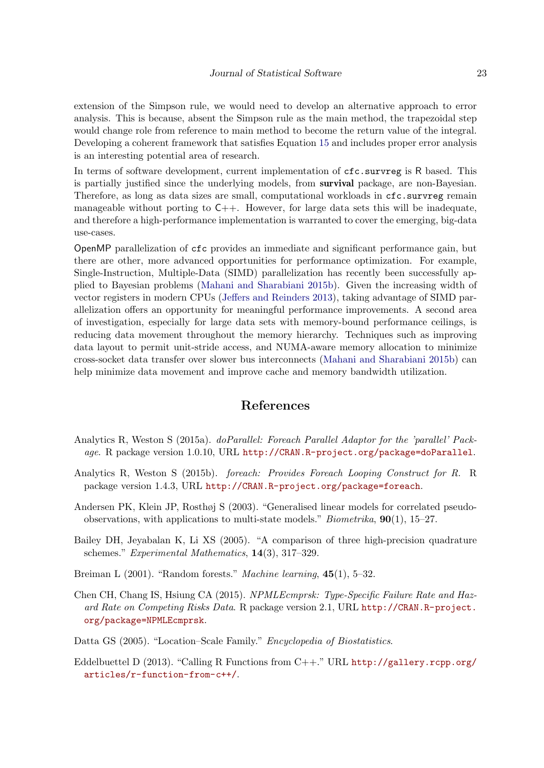extension of the Simpson rule, we would need to develop an alternative approach to error analysis. This is because, absent the Simpson rule as the main method, the trapezoidal step would change role from reference to main method to become the return value of the integral. Developing a coherent framework that satisfies Equation [15](#page-21-1) and includes proper error analysis is an interesting potential area of research.

In terms of software development, current implementation of  $\mathsf{cfc}.\mathsf{survreg}$  is R based. This is partially justified since the underlying models, from survival package, are non-Bayesian. Therefore, as long as data sizes are small, computational workloads in  $cfc.survreg$  remain manageable without porting to  $C++$ . However, for large data sets this will be inadequate, and therefore a high-performance implementation is warranted to cover the emerging, big-data use-cases.

OpenMP parallelization of cfc provides an immediate and significant performance gain, but there are other, more advanced opportunities for performance optimization. For example, Single-Instruction, Multiple-Data (SIMD) parallelization has recently been successfully applied to Bayesian problems [\(Mahani and Sharabiani](#page-24-15) [2015b\)](#page-24-15). Given the increasing width of vector registers in modern CPUs [\(Jeffers and Reinders](#page-23-16) [2013\)](#page-23-16), taking advantage of SIMD parallelization offers an opportunity for meaningful performance improvements. A second area of investigation, especially for large data sets with memory-bound performance ceilings, is reducing data movement throughout the memory hierarchy. Techniques such as improving data layout to permit unit-stride access, and NUMA-aware memory allocation to minimize cross-socket data transfer over slower bus interconnects [\(Mahani and Sharabiani](#page-24-15) [2015b\)](#page-24-15) can help minimize data movement and improve cache and memory bandwidth utilization.

# References

- <span id="page-22-5"></span>Analytics R, Weston S (2015a). doParallel: Foreach Parallel Adaptor for the 'parallel' Package. R package version 1.0.10, URL <http://CRAN.R-project.org/package=doParallel>.
- <span id="page-22-6"></span>Analytics R, Weston S (2015b). foreach: Provides Foreach Looping Construct for R. R package version 1.4.3, URL <http://CRAN.R-project.org/package=foreach>.
- <span id="page-22-1"></span>Andersen PK, Klein JP, Rosthøj S (2003). "Generalised linear models for correlated pseudoobservations, with applications to multi-state models." *Biometrika*,  $90(1)$ , 15–27.
- <span id="page-22-3"></span>Bailey DH, Jeyabalan K, Li XS (2005). "A comparison of three high-precision quadrature schemes." Experimental Mathematics, 14(3), 317–329.
- <span id="page-22-2"></span>Breiman L (2001). "Random forests." *Machine learning*, **45**(1), 5–32.
- <span id="page-22-0"></span>Chen CH, Chang IS, Hsiung CA (2015). NPMLEcmprsk: Type-Specific Failure Rate and Hazard Rate on Competing Risks Data. R package version 2.1, URL [http://CRAN.R-project.](http://CRAN.R-project.org/package=NPMLEcmprsk) [org/package=NPMLEcmprsk](http://CRAN.R-project.org/package=NPMLEcmprsk).
- <span id="page-22-7"></span>Datta GS (2005). "Location–Scale Family." Encyclopedia of Biostatistics.
- <span id="page-22-4"></span>Eddelbuettel D (2013). "Calling R Functions from  $C++$ ." URL [http://gallery.rcpp.org/](http://gallery.rcpp.org/articles/r-function-from-c++/) [articles/r-function-from-c++/](http://gallery.rcpp.org/articles/r-function-from-c++/).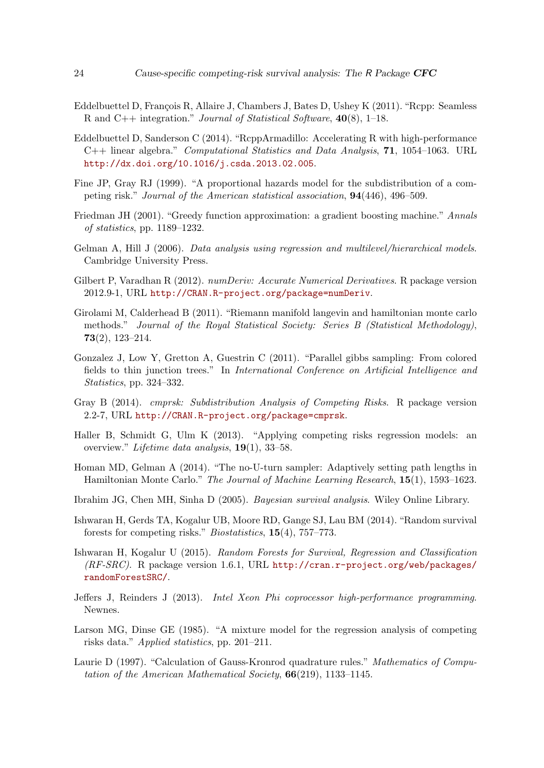- <span id="page-23-8"></span>Eddelbuettel D, François R, Allaire J, Chambers J, Bates D, Ushey K (2011). "Rcpp: Seamless R and C++ integration." Journal of Statistical Software, 40(8), 1–18.
- <span id="page-23-9"></span>Eddelbuettel D, Sanderson C (2014). "RcppArmadillo: Accelerating R with high-performance  $C++$  linear algebra." *Computational Statistics and Data Analysis*, **71**, 1054–1063. URL <http://dx.doi.org/10.1016/j.csda.2013.02.005>.
- <span id="page-23-1"></span>Fine JP, Gray RJ (1999). "A proportional hazards model for the subdistribution of a competing risk." Journal of the American statistical association, 94(446), 496–509.
- <span id="page-23-5"></span>Friedman JH (2001). "Greedy function approximation: a gradient boosting machine." Annals of statistics, pp. 1189–1232.
- <span id="page-23-0"></span>Gelman A, Hill J (2006). Data analysis using regression and multilevel/hierarchical models. Cambridge University Press.
- <span id="page-23-11"></span>Gilbert P, Varadhan R (2012). *numDeriv: Accurate Numerical Derivatives*. R package version 2012.9-1, URL <http://CRAN.R-project.org/package=numDeriv>.
- <span id="page-23-13"></span>Girolami M, Calderhead B (2011). "Riemann manifold langevin and hamiltonian monte carlo methods." Journal of the Royal Statistical Society: Series B (Statistical Methodology), 73(2), 123–214.
- <span id="page-23-15"></span>Gonzalez J, Low Y, Gretton A, Guestrin C (2011). "Parallel gibbs sampling: From colored fields to thin junction trees." In International Conference on Artificial Intelligence and Statistics, pp. 324–332.
- <span id="page-23-2"></span>Gray B (2014). cmprsk: Subdistribution Analysis of Competing Risks. R package version 2.2-7, URL <http://CRAN.R-project.org/package=cmprsk>.
- <span id="page-23-4"></span>Haller B, Schmidt G, Ulm K (2013). "Applying competing risks regression models: an overview." Lifetime data analysis, 19(1), 33–58.
- <span id="page-23-14"></span>Homan MD, Gelman A (2014). "The no-U-turn sampler: Adaptively setting path lengths in Hamiltonian Monte Carlo." The Journal of Machine Learning Research, 15(1), 1593–1623.
- <span id="page-23-12"></span>Ibrahim JG, Chen MH, Sinha D (2005). Bayesian survival analysis. Wiley Online Library.
- <span id="page-23-7"></span>Ishwaran H, Gerds TA, Kogalur UB, Moore RD, Gange SJ, Lau BM (2014). "Random survival forests for competing risks." Biostatistics, 15(4), 757–773.
- <span id="page-23-6"></span>Ishwaran H, Kogalur U (2015). Random Forests for Survival, Regression and Classification  $(RF-SRC)$ . R package version 1.6.1, URL [http://cran.r-project.org/web/packages/](http://cran.r-project.org/web/packages/randomForestSRC/) [randomForestSRC/](http://cran.r-project.org/web/packages/randomForestSRC/).
- <span id="page-23-16"></span>Jeffers J, Reinders J (2013). Intel Xeon Phi coprocessor high-performance programming. Newnes.
- <span id="page-23-3"></span>Larson MG, Dinse GE (1985). "A mixture model for the regression analysis of competing risks data." Applied statistics, pp. 201–211.
- <span id="page-23-10"></span>Laurie D (1997). "Calculation of Gauss-Kronrod quadrature rules." Mathematics of Computation of the American Mathematical Society, 66(219), 1133–1145.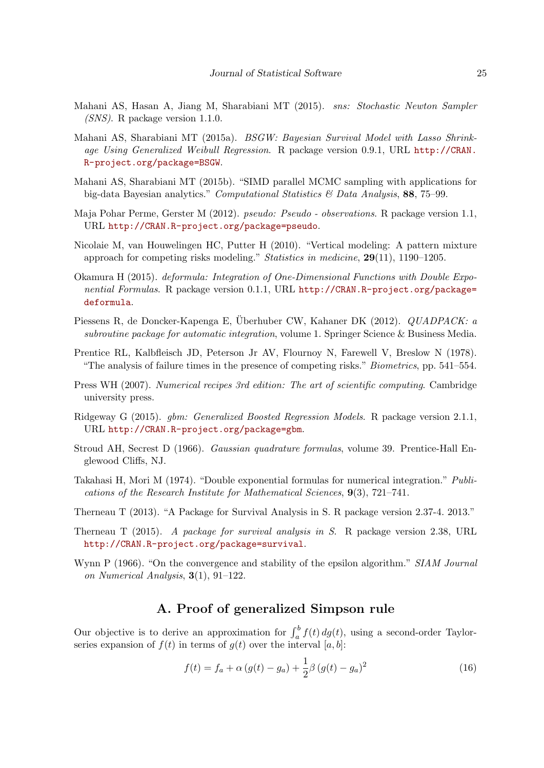- <span id="page-24-14"></span>Mahani AS, Hasan A, Jiang M, Sharabiani MT (2015). sns: Stochastic Newton Sampler (SNS). R package version 1.1.0.
- <span id="page-24-5"></span>Mahani AS, Sharabiani MT (2015a). BSGW: Bayesian Survival Model with Lasso Shrinkage Using Generalized Weibull Regression. R package version 0.9.1, URL [http://CRAN.](http://CRAN.R-project.org/package=BSGW) [R-project.org/package=BSGW](http://CRAN.R-project.org/package=BSGW).
- <span id="page-24-15"></span>Mahani AS, Sharabiani MT (2015b). "SIMD parallel MCMC sampling with applications for big-data Bayesian analytics." Computational Statistics & Data Analysis, 88, 75–99.
- <span id="page-24-2"></span>Maja Pohar Perme, Gerster M (2012). pseudo: Pseudo - observations. R package version 1.1, URL <http://CRAN.R-project.org/package=pseudo>.
- <span id="page-24-1"></span>Nicolaie M, van Houwelingen HC, Putter H (2010). "Vertical modeling: A pattern mixture approach for competing risks modeling." *Statistics in medicine*,  $29(11)$ , 1190–1205.
- <span id="page-24-11"></span>Okamura H (2015). deformula: Integration of One-Dimensional Functions with Double Exponential Formulas. R package version 0.1.1, URL [http://CRAN.R-project.org/package=](http://CRAN.R-project.org/package=deformula) [deformula](http://CRAN.R-project.org/package=deformula).
- <span id="page-24-7"></span>Piessens R, de Doncker-Kapenga E, Überhuber CW, Kahaner DK (2012). *QUADPACK: a* subroutine package for automatic integration, volume 1. Springer Science & Business Media.
- <span id="page-24-0"></span>Prentice RL, Kalbfleisch JD, Peterson Jr AV, Flournoy N, Farewell V, Breslow N (1978). "The analysis of failure times in the presence of competing risks." Biometrics, pp. 541–554.
- <span id="page-24-9"></span>Press WH (2007). Numerical recipes 3rd edition: The art of scientific computing. Cambridge university press.
- <span id="page-24-3"></span>Ridgeway G (2015). gbm: Generalized Boosted Regression Models. R package version 2.1.1, URL <http://CRAN.R-project.org/package=gbm>.
- <span id="page-24-6"></span>Stroud AH, Secrest D (1966). Gaussian quadrature formulas, volume 39. Prentice-Hall Englewood Cliffs, NJ.
- <span id="page-24-10"></span>Takahasi H, Mori M (1974). "Double exponential formulas for numerical integration." Publications of the Research Institute for Mathematical Sciences, 9(3), 721–741.
- <span id="page-24-13"></span>Therneau T (2013). "A Package for Survival Analysis in S. R package version 2.37-4. 2013."
- <span id="page-24-4"></span>Therneau T (2015). A package for survival analysis in S. R package version 2.38, URL <http://CRAN.R-project.org/package=survival>.
- <span id="page-24-8"></span>Wynn P (1966). "On the convergence and stability of the epsilon algorithm." SIAM Journal on Numerical Analysis, 3(1), 91–122.

# A. Proof of generalized Simpson rule

<span id="page-24-12"></span>Our objective is to derive an approximation for  $\int_a^b f(t) dg(t)$ , using a second-order Taylorseries expansion of  $f(t)$  in terms of  $q(t)$  over the interval [a, b]:

<span id="page-24-16"></span>
$$
f(t) = f_a + \alpha (g(t) - g_a) + \frac{1}{2}\beta (g(t) - g_a)^2
$$
\n(16)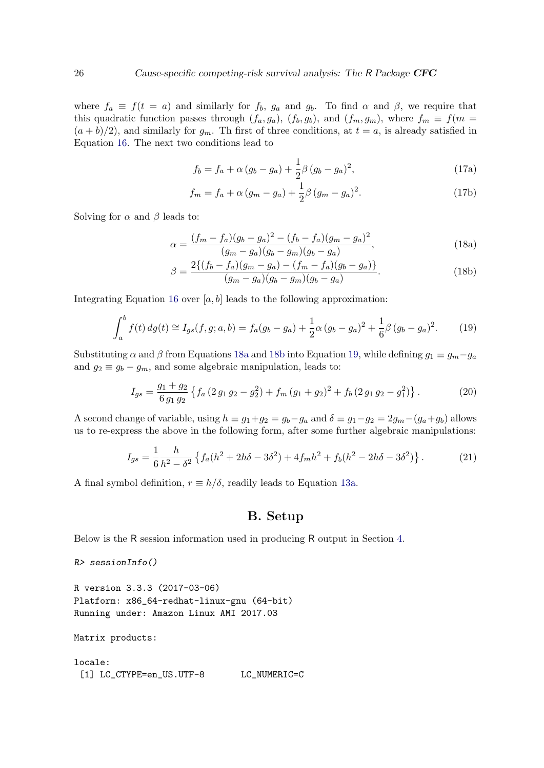where  $f_a \equiv f(t = a)$  and similarly for  $f_b$ ,  $g_a$  and  $g_b$ . To find  $\alpha$  and  $\beta$ , we require that this quadratic function passes through  $(f_a, g_a)$ ,  $(f_b, g_b)$ , and  $(f_m, g_m)$ , where  $f_m \equiv f(m =$  $(a + b)/2$ , and similarly for  $g_m$ . Th first of three conditions, at  $t = a$ , is already satisfied in Equation [16.](#page-24-16) The next two conditions lead to

<span id="page-25-2"></span><span id="page-25-1"></span>
$$
f_b = f_a + \alpha (g_b - g_a) + \frac{1}{2}\beta (g_b - g_a)^2,
$$
 (17a)

$$
f_m = f_a + \alpha (g_m - g_a) + \frac{1}{2}\beta (g_m - g_a)^2.
$$
 (17b)

Solving for  $\alpha$  and  $\beta$  leads to:

$$
\alpha = \frac{(f_m - f_a)(g_b - g_a)^2 - (f_b - f_a)(g_m - g_a)^2}{(g_m - g_a)(g_b - g_m)(g_b - g_a)},
$$
\n(18a)

$$
\beta = \frac{2\{(f_b - f_a)(g_m - g_a) - (f_m - f_a)(g_b - g_a)\}}{(g_m - g_a)(g_b - g_m)(g_b - g_a)}.
$$
\n(18b)

Integrating Equation [16](#page-24-16) over  $[a, b]$  leads to the following approximation:

$$
\int_{a}^{b} f(t) \, dg(t) \cong I_{gs}(f, g; a, b) = f_{a}(g_{b} - g_{a}) + \frac{1}{2}\alpha (g_{b} - g_{a})^{2} + \frac{1}{6}\beta (g_{b} - g_{a})^{2}.
$$
 (19)

Substituting  $\alpha$  and  $\beta$  from Equations [18a](#page-25-1) and [18b](#page-25-2) into Equation [19,](#page-25-3) while defining  $g_1 \equiv g_m - g_a$ and  $g_2 \equiv g_b - g_m$ , and some algebraic manipulation, leads to:

$$
I_{gs} = \frac{g_1 + g_2}{6 g_1 g_2} \left\{ f_a \left( 2 g_1 g_2 - g_2^2 \right) + f_m \left( g_1 + g_2 \right)^2 + f_b \left( 2 g_1 g_2 - g_1^2 \right) \right\}.
$$
 (20)

A second change of variable, using  $h \equiv g_1 + g_2 = g_b - g_a$  and  $\delta \equiv g_1 - g_2 = 2g_m - (g_a + g_b)$  allows us to re-express the above in the following form, after some further algebraic manipulations:

$$
I_{gs} = \frac{1}{6} \frac{h}{h^2 - \delta^2} \left\{ f_a (h^2 + 2h\delta - 3\delta^2) + 4f_m h^2 + f_b (h^2 - 2h\delta - 3\delta^2) \right\}.
$$
 (21)

A final symbol definition,  $r \equiv h/\delta$ , readily leads to Equation [13a.](#page-3-1)

## <span id="page-25-3"></span>B. Setup

<span id="page-25-0"></span>Below is the R session information used in producing R output in Section [4.](#page-10-0)

```
R> sessionInfo()
```

```
R version 3.3.3 (2017-03-06)
Platform: x86_64-redhat-linux-gnu (64-bit)
Running under: Amazon Linux AMI 2017.03
```
Matrix products:

locale: [1] LC\_CTYPE=en\_US.UTF-8 LC\_NUMERIC=C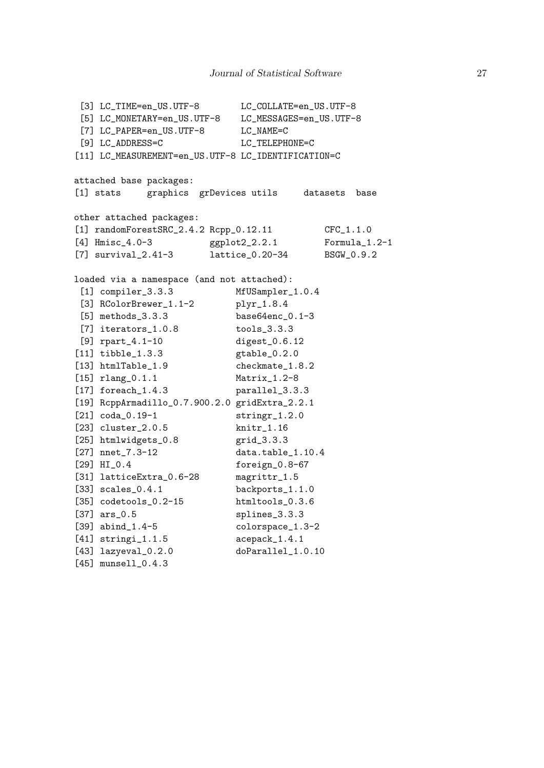[3] LC\_TIME=en\_US.UTF-8 LC\_COLLATE=en\_US.UTF-8 [5] LC\_MONETARY=en\_US.UTF-8 LC\_MESSAGES=en\_US.UTF-8 [7] LC\_PAPER=en\_US.UTF-8 LC\_NAME=C [9] LC\_ADDRESS=C LC\_TELEPHONE=C [11] LC\_MEASUREMENT=en\_US.UTF-8 LC\_IDENTIFICATION=C attached base packages: [1] stats graphics grDevices utils datasets base other attached packages: [1] randomForestSRC\_2.4.2 Rcpp\_0.12.11 CFC\_1.1.0 [4] Hmisc\_4.0-3 ggplot2\_2.2.1 Formula\_1.2-1 [7] survival\_2.41-3 lattice\_0.20-34 BSGW\_0.9.2 loaded via a namespace (and not attached): [1] compiler\_3.3.3 MfUSampler\_1.0.4 [3] RColorBrewer\_1.1-2 plyr\_1.8.4 [5] methods\_3.3.3 base64enc\_0.1-3 [7] iterators\_1.0.8 tools\_3.3.3 [9] rpart\_4.1-10 digest\_0.6.12 [11] tibble\_1.3.3 gtable\_0.2.0 [13] htmlTable 1.9 checkmate 1.8.2 [15] rlang\_0.1.1 Matrix\_1.2-8 [17] foreach\_1.4.3 parallel\_3.3.3 [19] RcppArmadillo\_0.7.900.2.0 gridExtra\_2.2.1 [21] coda\_0.19-1 stringr\_1.2.0 [23] cluster\_2.0.5 knitr\_1.16 [25] htmlwidgets\_0.8 grid\_3.3.3 [27] nnet\_7.3-12 data.table\_1.10.4 [29] HI\_0.4 foreign\_0.8-67 [31] latticeExtra\_0.6-28 magrittr\_1.5 [33] scales\_0.4.1 backports\_1.1.0 [35] codetools\_0.2-15 htmltools\_0.3.6 [37] ars\_0.5 splines\_3.3.3 [39] abind\_1.4-5 colorspace\_1.3-2 [41] stringi\_1.1.5 acepack\_1.4.1 [43] lazyeval\_0.2.0 doParallel\_1.0.10 [45] munsell\_0.4.3